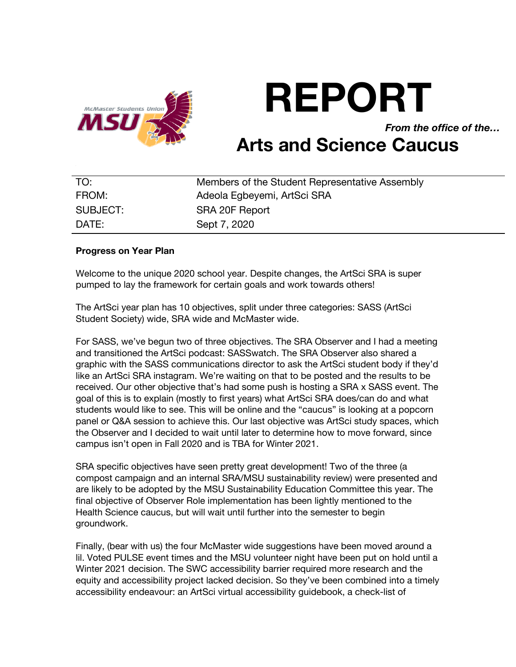

# **REPORT** *From the office of the…* **Arts and Science Caucus**

## TO: Members of the Student Representative Assembly FROM: Adeola Egbeyemi, ArtSci SRA SUBJECT: SRA 20F Report DATE: Sept 7, 2020

#### **Progress on Year Plan**

Welcome to the unique 2020 school year. Despite changes, the ArtSci SRA is super pumped to lay the framework for certain goals and work towards others!

The ArtSci year plan has 10 objectives, split under three categories: SASS (ArtSci Student Society) wide, SRA wide and McMaster wide.

For SASS, we've begun two of three objectives. The SRA Observer and I had a meeting and transitioned the ArtSci podcast: SASSwatch. The SRA Observer also shared a graphic with the SASS communications director to ask the ArtSci student body if they'd like an ArtSci SRA instagram. We're waiting on that to be posted and the results to be received. Our other objective that's had some push is hosting a SRA x SASS event. The goal of this is to explain (mostly to first years) what ArtSci SRA does/can do and what students would like to see. This will be online and the "caucus" is looking at a popcorn panel or Q&A session to achieve this. Our last objective was ArtSci study spaces, which the Observer and I decided to wait until later to determine how to move forward, since campus isn't open in Fall 2020 and is TBA for Winter 2021.

SRA specific objectives have seen pretty great development! Two of the three (a compost campaign and an internal SRA/MSU sustainability review) were presented and are likely to be adopted by the MSU Sustainability Education Committee this year. The final objective of Observer Role implementation has been lightly mentioned to the Health Science caucus, but will wait until further into the semester to begin groundwork.

Finally, (bear with us) the four McMaster wide suggestions have been moved around a lil. Voted PULSE event times and the MSU volunteer night have been put on hold until a Winter 2021 decision. The SWC accessibility barrier required more research and the equity and accessibility project lacked decision. So they've been combined into a timely accessibility endeavour: an ArtSci virtual accessibility guidebook, a check-list of